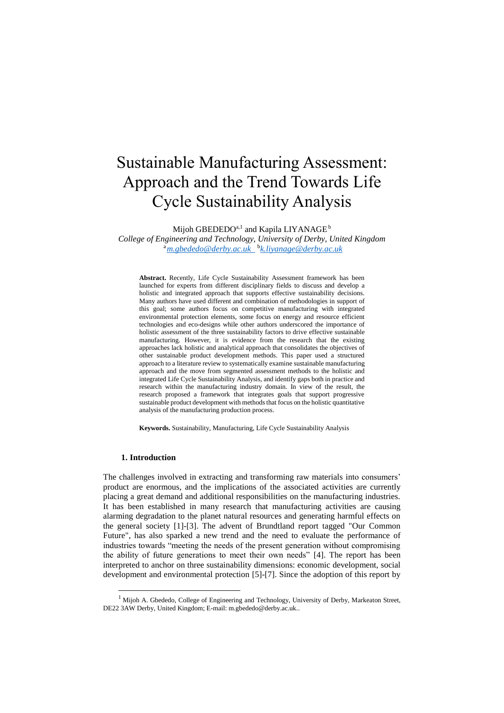# Sustainable Manufacturing Assessment: Approach and the Trend Towards Life Cycle Sustainability Analysis

Mijoh GBEDEDO $^{\mathrm{a},\mathrm{l}}$  and Kapila LIYANAGE  $^{\mathrm{b}}$ 

*College of Engineering and Technology, University of Derby, United Kingdom* <sup>a</sup>*[m.gbededo@derby.ac.uk](mailto:m.gbededo@derby.ac.uk)*  b *[k.liyanage@derby.ac.uk](mailto:k.liyanage@derby.ac.uk)*

**Abstract.** Recently, Life Cycle Sustainability Assessment framework has been launched for experts from different disciplinary fields to discuss and develop a holistic and integrated approach that supports effective sustainability decisions. Many authors have used different and combination of methodologies in support of this goal; some authors focus on competitive manufacturing with integrated environmental protection elements, some focus on energy and resource efficient technologies and eco-designs while other authors underscored the importance of holistic assessment of the three sustainability factors to drive effective sustainable manufacturing. However, it is evidence from the research that the existing approaches lack holistic and analytical approach that consolidates the objectives of other sustainable product development methods. This paper used a structured approach to a literature review to systematically examine sustainable manufacturing approach and the move from segmented assessment methods to the holistic and integrated Life Cycle Sustainability Analysis, and identify gaps both in practice and research within the manufacturing industry domain. In view of the result, the research proposed a framework that integrates goals that support progressive sustainable product development with methods that focus on the holistic quantitative analysis of the manufacturing production process.

**Keywords.** Sustainability, Manufacturing, Life Cycle Sustainability Analysis

## **1. Introduction**

-

The challenges involved in extracting and transforming raw materials into consumers' product are enormous, and the implications of the associated activities are currently placing a great demand and additional responsibilities on the manufacturing industries. It has been established in many research that manufacturing activities are causing alarming degradation to the planet natural resources and generating harmful effects on the general society [1]-[3]. The advent of Brundtland report tagged "Our Common Future", has also sparked a new trend and the need to evaluate the performance of industries towards "meeting the needs of the present generation without compromising the ability of future generations to meet their own needs" [4]. The report has been interpreted to anchor on three sustainability dimensions: economic development, social development and environmental protection [5]-[7]. Since the adoption of this report by

<sup>&</sup>lt;sup>1</sup> Mijoh A. Gbededo, College of Engineering and Technology, University of Derby, Markeaton Street, DE22 3AW Derby, United Kingdom; E-mail: m.gbededo@derby.ac.uk..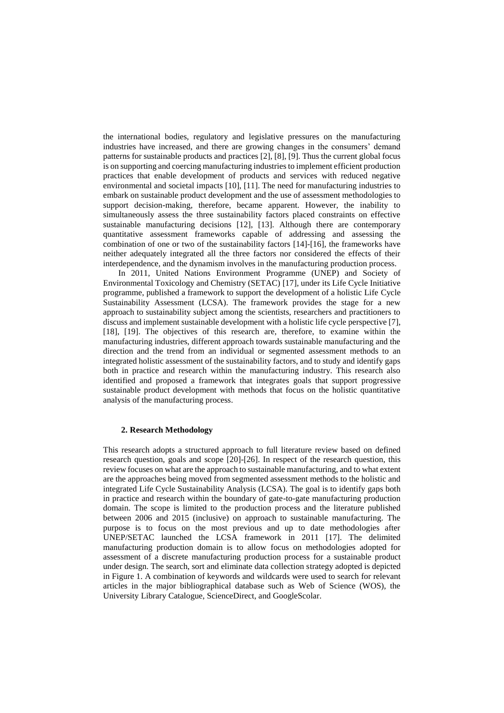the international bodies, regulatory and legislative pressures on the manufacturing industries have increased, and there are growing changes in the consumers' demand patterns for sustainable products and practices [2], [8], [9]. Thus the current global focus is on supporting and coercing manufacturing industries to implement efficient production practices that enable development of products and services with reduced negative environmental and societal impacts [10], [11]. The need for manufacturing industries to embark on sustainable product development and the use of assessment methodologies to support decision-making, therefore, became apparent. However, the inability to simultaneously assess the three sustainability factors placed constraints on effective sustainable manufacturing decisions [12], [13]. Although there are contemporary quantitative assessment frameworks capable of addressing and assessing the combination of one or two of the sustainability factors [14]-[16], the frameworks have neither adequately integrated all the three factors nor considered the effects of their interdependence, and the dynamism involves in the manufacturing production process.

In 2011, United Nations Environment Programme (UNEP) and Society of Environmental Toxicology and Chemistry (SETAC) [17], under its Life Cycle Initiative programme, published a framework to support the development of a holistic Life Cycle Sustainability Assessment (LCSA). The framework provides the stage for a new approach to sustainability subject among the scientists, researchers and practitioners to discuss and implement sustainable development with a holistic life cycle perspective [7], [18], [19]. The objectives of this research are, therefore, to examine within the manufacturing industries, different approach towards sustainable manufacturing and the direction and the trend from an individual or segmented assessment methods to an integrated holistic assessment of the sustainability factors, and to study and identify gaps both in practice and research within the manufacturing industry. This research also identified and proposed a framework that integrates goals that support progressive sustainable product development with methods that focus on the holistic quantitative analysis of the manufacturing process.

## **2. Research Methodology**

This research adopts a structured approach to full literature review based on defined research question, goals and scope [20]-[26]. In respect of the research question, this review focuses on what are the approach to sustainable manufacturing, and to what extent are the approaches being moved from segmented assessment methods to the holistic and integrated Life Cycle Sustainability Analysis (LCSA). The goal is to identify gaps both in practice and research within the boundary of gate-to-gate manufacturing production domain. The scope is limited to the production process and the literature published between 2006 and 2015 (inclusive) on approach to sustainable manufacturing. The purpose is to focus on the most previous and up to date methodologies after UNEP/SETAC launched the LCSA framework in 2011 [17]. The delimited manufacturing production domain is to allow focus on methodologies adopted for assessment of a discrete manufacturing production process for a sustainable product under design. The search, sort and eliminate data collection strategy adopted is depicted in Figure 1. A combination of keywords and wildcards were used to search for relevant articles in the major bibliographical database such as Web of Science (WOS), the University Library Catalogue, ScienceDirect, and GoogleScolar.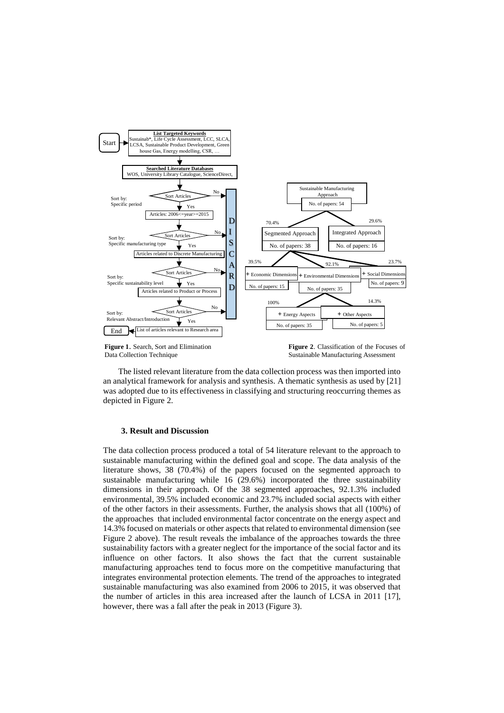

The listed relevant literature from the data collection process was then imported into an analytical framework for analysis and synthesis. A thematic synthesis as used by [21] was adopted due to its effectiveness in classifying and structuring reoccurring themes as depicted in Figure 2.

## **3. Result and Discussion**

The data collection process produced a total of 54 literature relevant to the approach to sustainable manufacturing within the defined goal and scope. The data analysis of the literature shows, 38 (70.4%) of the papers focused on the segmented approach to sustainable manufacturing while 16 (29.6%) incorporated the three sustainability dimensions in their approach. Of the 38 segmented approaches, 92.1.3% included environmental, 39.5% included economic and 23.7% included social aspects with either of the other factors in their assessments. Further, the analysis shows that all (100%) of the approaches that included environmental factor concentrate on the energy aspect and 14.3% focused on materials or other aspects that related to environmental dimension (see Figure 2 above). The result reveals the imbalance of the approaches towards the three sustainability factors with a greater neglect for the importance of the social factor and its influence on other factors. It also shows the fact that the current sustainable manufacturing approaches tend to focus more on the competitive manufacturing that integrates environmental protection elements. The trend of the approaches to integrated sustainable manufacturing was also examined from 2006 to 2015, it was observed that the number of articles in this area increased after the launch of LCSA in 2011 [17], however, there was a fall after the peak in 2013 (Figure 3).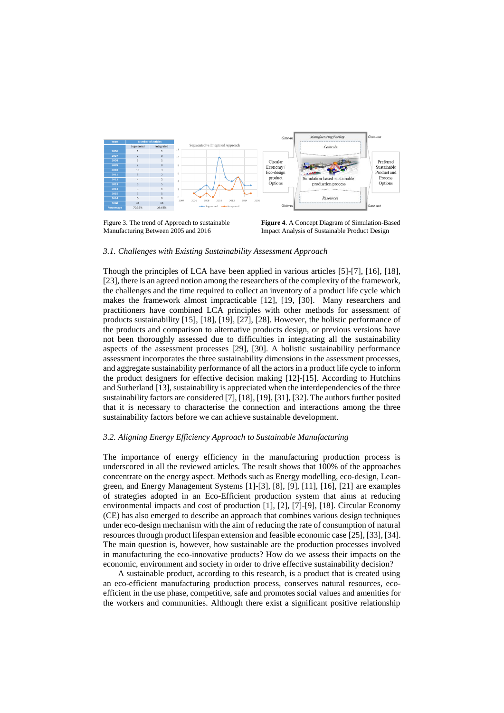

Figure 3. The trend of Approach to sustainable Manufacturing Between 2005 and 2016

**Figure 4**. A Concept Diagram of Simulation-Based Impact Analysis of Sustainable Product Design

#### *3.1. Challenges with Existing Sustainability Assessment Approach*

Though the principles of LCA have been applied in various articles [5]-[7], [16], [18], [23], there is an agreed notion among the researchers of the complexity of the framework, the challenges and the time required to collect an inventory of a product life cycle which makes the framework almost impracticable [12], [19, [30]. Many researchers and practitioners have combined LCA principles with other methods for assessment of products sustainability [15], [18], [19], [27], [28]. However, the holistic performance of the products and comparison to alternative products design, or previous versions have not been thoroughly assessed due to difficulties in integrating all the sustainability aspects of the assessment processes [29], [30]. A holistic sustainability performance assessment incorporates the three sustainability dimensions in the assessment processes, and aggregate sustainability performance of all the actors in a product life cycle to inform the product designers for effective decision making [12]-[15]. According to Hutchins and Sutherland [13], sustainability is appreciated when the interdependencies of the three sustainability factors are considered [7], [18], [19], [31], [32]. The authors further posited that it is necessary to characterise the connection and interactions among the three sustainability factors before we can achieve sustainable development.

## *3.2. Aligning Energy Efficiency Approach to Sustainable Manufacturing*

The importance of energy efficiency in the manufacturing production process is underscored in all the reviewed articles. The result shows that 100% of the approaches concentrate on the energy aspect. Methods such as Energy modelling, eco-design, Leangreen, and Energy Management Systems [1]-[3], [8], [9], [11], [16], [21] are examples of strategies adopted in an Eco-Efficient production system that aims at reducing environmental impacts and cost of production [1], [2], [7]-[9], [18]. Circular Economy (CE) has also emerged to describe an approach that combines various design techniques under eco-design mechanism with the aim of reducing the rate of consumption of natural resources through product lifespan extension and feasible economic case [25], [33], [34]. The main question is, however, how sustainable are the production processes involved in manufacturing the eco-innovative products? How do we assess their impacts on the economic, environment and society in order to drive effective sustainability decision?

 A sustainable product, according to this research, is a product that is created using an eco-efficient manufacturing production process, conserves natural resources, ecoefficient in the use phase, competitive, safe and promotes social values and amenities for the workers and communities. Although there exist a significant positive relationship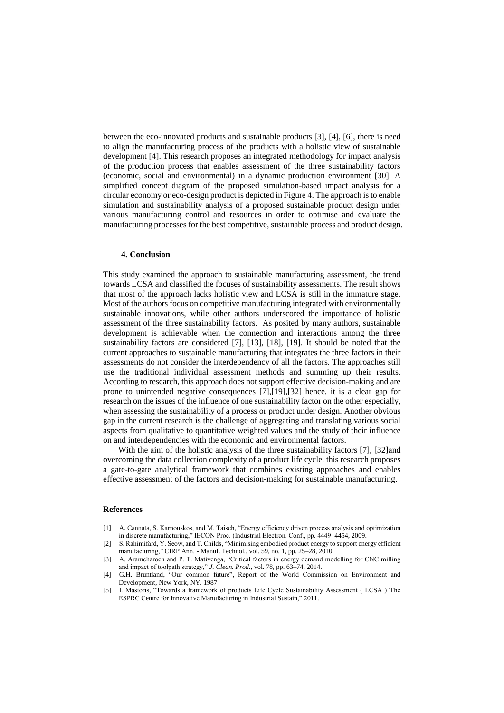between the eco-innovated products and sustainable products [3], [4], [6], there is need to align the manufacturing process of the products with a holistic view of sustainable development [4]. This research proposes an integrated methodology for impact analysis of the production process that enables assessment of the three sustainability factors (economic, social and environmental) in a dynamic production environment [30]. A simplified concept diagram of the proposed simulation-based impact analysis for a circular economy or eco-design product is depicted in Figure 4. The approach is to enable simulation and sustainability analysis of a proposed sustainable product design under various manufacturing control and resources in order to optimise and evaluate the manufacturing processes for the best competitive, sustainable process and product design.

## **4. Conclusion**

This study examined the approach to sustainable manufacturing assessment, the trend towards LCSA and classified the focuses of sustainability assessments. The result shows that most of the approach lacks holistic view and LCSA is still in the immature stage. Most of the authors focus on competitive manufacturing integrated with environmentally sustainable innovations, while other authors underscored the importance of holistic assessment of the three sustainability factors. As posited by many authors, sustainable development is achievable when the connection and interactions among the three sustainability factors are considered [7], [13], [18], [19]. It should be noted that the current approaches to sustainable manufacturing that integrates the three factors in their assessments do not consider the interdependency of all the factors. The approaches still use the traditional individual assessment methods and summing up their results. According to research, this approach does not support effective decision-making and are prone to unintended negative consequences [7],[19],[32] hence, it is a clear gap for research on the issues of the influence of one sustainability factor on the other especially, when assessing the sustainability of a process or product under design. Another obvious gap in the current research is the challenge of aggregating and translating various social aspects from qualitative to quantitative weighted values and the study of their influence on and interdependencies with the economic and environmental factors.

With the aim of the holistic analysis of the three sustainability factors [7], [32]and overcoming the data collection complexity of a product life cycle, this research proposes a gate-to-gate analytical framework that combines existing approaches and enables effective assessment of the factors and decision-making for sustainable manufacturing.

### **References**

- [1] A. Cannata, S. Karnouskos, and M. Taisch, "Energy efficiency driven process analysis and optimization in discrete manufacturing," IECON Proc. (Industrial Electron. Conf., pp. 4449–4454, 2009.
- [2] S. Rahimifard, Y. Seow, and T. Childs, "Minimising embodied product energy to support energy efficient manufacturing," CIRP Ann. - Manuf. Technol., vol. 59, no. 1, pp. 25–28, 2010.
- [3] A. Aramcharoen and P. T. Mativenga, "Critical factors in energy demand modelling for CNC milling and impact of toolpath strategy," *J. Clean. Prod.*, vol. 78, pp. 63–74, 2014.
- [4] G.H. Bruntland, "Our common future", Report of the World Commission on Environment and Development, New York, NY. 1987
- [5] I. Mastoris, "Towards a framework of products Life Cycle Sustainability Assessment ( LCSA )"The ESPRC Centre for Innovative Manufacturing in Industrial Sustain," 2011.